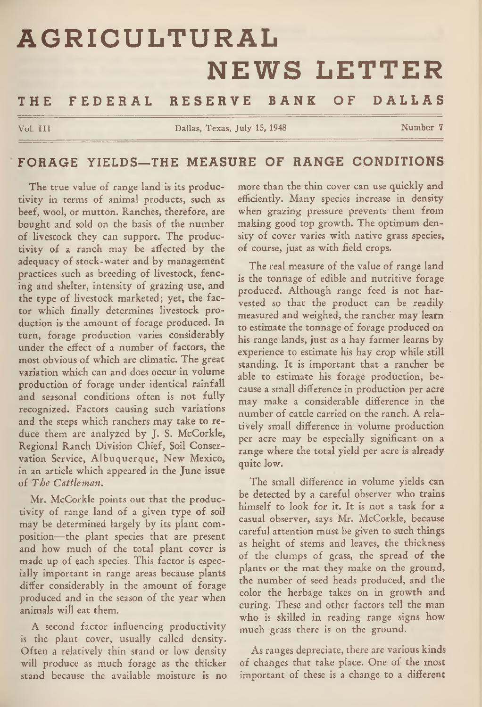# **AGRICULTURAL NEWS LETTER** THE FEDERAL RESERVE BANK OF DALLAS

**Vol. III Dallas, Texas, July 15, 1948 Number 7** 

## FORAGE YIELDS-THE MEASURE OF RANGE CONDITIONS

The true value of range land is its productivity in terms of animal products, such as beef, wool, or mutton. Ranches, therefore, are bought and sold on the basis of the number of livestock they can support. The productivity of a ranch may be affected by the adequacy of stock-water and by management practices such as breeding of livestock, fencing and shelter, intensity of grazing use, and the type of livestock marketed; yet, the factor which finally determines livestock production is the amount of forage produced. In turn, forage production varies considerably under the effect of a number of factors, the most obvious of which are climatic. The great variation which can and does occur in volume production of forage under identical rainfall and seasonal conditions often is not fully recognized. Factors causing such variations and the steps which ranchers may take to reduce them are analyzed by J. S. McCorkle, Regional Ranch Division Chief, Soil Conservation Service, Albuquerque, New Mexico, in an article which appeared in the June issue of *The Cattleman.*

Mr. McCorkle points out that the productivity of range land of a given type of soil may be determined largely by its plant composition—the plant species that are present and how much of the total plant cover is made up of each species. This factor is especially important in range areas because plants differ considerably in the amount of forage produced and in the season of the year when animals will eat them.

A second factor influencing productivity is the plant cover, usually called density. Often a relatively thin stand or low density will produce as much forage as the thicker stand because the available moisture is no

more than the thin cover can use quickly and efficiently. Many species increase in density when grazing pressure prevents them from making good top growth. The optimum density of cover varies with native grass species, of course, just as with field crops.

The real measure of the value of range land is the tonnage of edible and nutritive forage produced. Although range feed is not harvested so that the product can be readily measured and weighed, the rancher may learn to estimate the tonnage of forage produced on his range lands, just as a hay farmer learns by experience to estimate his hay crop while still standing. It is important that a rancher be able to estimate his forage production, because a small difference in production per acre may make a considerable difference in the number of cattle carried on the ranch. A relatively small difference in volume production per acre may be especially significant on a range where the total yield per acre is already quite low.

The small difference in volume yields can be detected by a careful observer who trains himself to look for it. It is not a task for a casual observer, says Mr. McCorkle, because careful attention must be given to such things as height of stems and leaves, the thickness of the clumps of grass, the spread of the plants or the mat they make on the ground, the number of seed heads produced, and the color the herbage takes on in growth and curing. These and other factors tell the man who is skilled in reading range signs how much grass there is on the ground.

As ranges depreciate, there are various kinds of changes that take place. One of the most important of these is a change to a different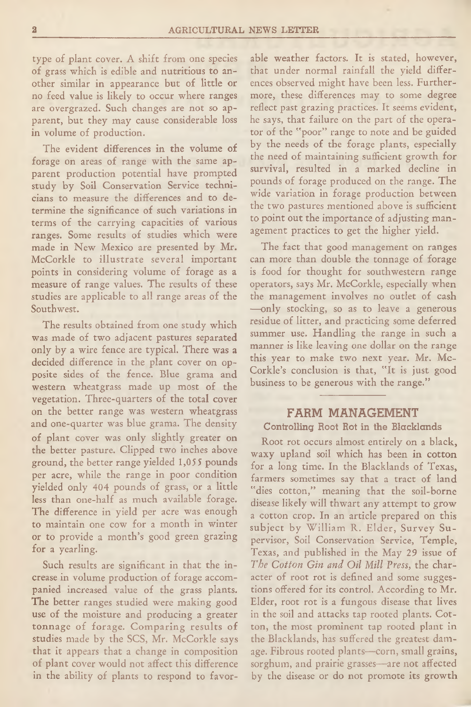type of plant cover. A shift from one species of grass which is edible and nutritious to another similar in appearance but of little or no feed value is likely to occur where ranges are overgrazed. Such changes are not so apparent, but they may cause considerable loss in volume of production.

The evident differences in the volume of forage on areas of range with the same apstudy by Soil Conservation Service technicians to measure the differences and to determine the significance of such variations in terms of the carrying capacities of various ranges. Some results of studies which were made in New Mexico are presented by Mr. McCorkle to illustrate several important points in considering volume of forage as a measure of range values. The results of these studies are applicable to all range areas of the Southwest.

The results obtained from one study which was made of two adjacent pastures separated only by a wire fence are typical. There was **a** decided difference in the plant cover on opposite sides of the fence. Blue grama and western wheatgrass made up most of the vegetation. Three-quarters of the total cover on the better range was western wheatgrass and one-quarter was blue grama. The density of plant cover was only slightly greater on the better pasture. Clipped two inches above ground, the better range yielded 1,055 pounds per acre, while the range in poor condition yielded only 404 pounds of grass, or a little less than one-half as much available forage. The difference in yield per acre was enough to maintain one cow for a month in winter or to provide a month's good green grazing for a yearling.

Such results are significant in that the increase in volume production of forage accompanied increased value of the grass plants. The better ranges studied were making good use of the moisture and producing a greater tonnage of forage. Comparing results of studies made by the SCS, Mr. McCorkle says that it appears that a change in composition of plant cover would not affect this difference in the ability of plants to respond to favorable weather factors. It is stated, however, that under normal rainfall the yield differences observed might have been less. Furthermore, these differences may to some degree reflect past grazing practices. It seems evident, he says, that failure on the part of the operator of the "poor" range to note and be guided by the needs of the forage plants, especially the need of maintaining sufficient growth for survival, resulted in a marked decline in pounds of forage produced on the range. The wide variation in forage production between the two pastures mentioned above is sufficient to point out the importance of adjusting management practices to get the higher yield.

The fact that good management on ranges can more than double the tonnage of forage is food for thought for southwestern range operators, says Mr. McCorkle, especially when the management involves no outlet of cash —only stocking, so as to leave a generous residue of litter, and practicing some deferred summer use. Handling the range in such a manner is like leaving one dollar on the range this year to make two next year. Mr. Mc-Corkle's conclusion is that, "It is just good business to be generous with the range."

## FARM MANAGEMENT

#### **Controlling Root Rot in the Blacklands**

Root rot occurs almost entirely on a black, waxy upland soil which has been in cotton for a long time. In the Blacklands of Texas, farmers sometimes say that a tract of land "dies cotton," meaning that the soil-borne disease likely will thwart any attempt to grow a cotton crop. In an article prepared on this subject by William R. Elder, Survey Supervisor, Soil Conservation Service, Temple, Texas, and published in the May 29 issue of *The Cotton Gin and Oil Mill Press,* the character of root rot is defined and some suggestions offered for its control. According to Mr. Elder, root rot is a fungous disease that lives in the soil and attacks tap rooted plants. Cotton, the most prominent tap rooted plant in the Blacklands, has suffered the greatest damage. Fibrous rooted plants—corn, small grains, sorghum, and prairie grasses—are not affected by the disease or do not promote its growth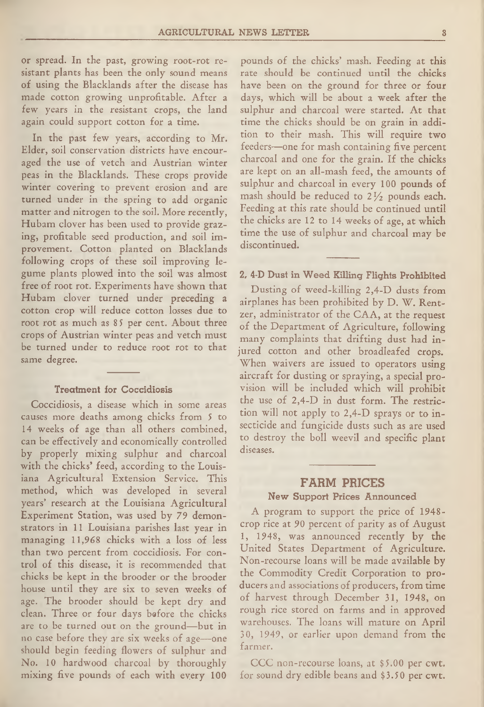or spread. In the past, growing root-rot resistant plants has been the only sound means of using the Blacklands after the disease has made cotton growing unprofitable. After a few years in the resistant crops, the land again could support cotton for a time.

In the past few years, according to Mr. Elder, soil conservation districts have encouraged the use of vetch and Austrian winter peas in the Blacklands. These crops provide winter covering to prevent erosion and are turned under in the spring to add organic matter and nitrogen to the soil. More recently, Hubam clover has been used to provide grazing, profitable seed production, and soil improvement. Cotton planted on Blacklands following crops of these soil improving legume plants plowed into the soil was almost free of root rot. Experiments have shown that Hubam clover turned under preceding a cotton crop will reduce cotton losses due to root rot as much as 85 per cent. About three crops of Austrian winter peas and vetch must be turned under to reduce root rot to that same degree.

#### **Treatment for Coccidiosis**

Coccidiosis, a disease which in some areas causes more deaths among chicks from 5 to 14 weeks of age than all others combined, can be effectively and economically controlled by properly mixing sulphur and charcoal with the chicks' feed, according to the Louisiana Agricultural Extension Service. This method, which was developed in several years' research at the Louisiana Agricultural Experiment Station, was used by 79 demonstrators in 11 Louisiana parishes last year in managing 11,968 chicks with a loss of less than two percent from coccidiosis. For control of this disease, it is recommended that chicks be kept in the brooder or the brooder house until they are six to seven weeks of age. The brooder should be kept dry and clean. Three or four days before the chicks are to be turned out on the ground—but in no case before they are six weeks of age—one should begin feeding flowers of sulphur and No. 10 hardwood charcoal by thoroughly mixing five pounds of each with eyery 100

pounds of the chicks' mash. Feeding at this rate should be continued until the chicks have been on the ground for three or four days, which will be about a week after the sulphur and charcoal were started. At that time the chicks should be on grain in addition to their mash. This will require two feeders—one for mash containing five percent charcoal and one for the grain. If the chicks are kept on an all-mash feed, the amounts of sulphur and charcoal in every 100 pounds of mash should be reduced to  $2\frac{1}{2}$  pounds each. Feeding at this rate should be continued until the chicks are 12 to 14 weeks of age, at which time the use of sulphur and charcoal may be discontinued.

#### **2, 4-D Dust in Weed Killing Flights Prohibited**

Dusting of weed-killing 2,4-D dusts from airplanes has been prohibited by D. W. Rentzer, administrator of the CAA, at the request of the Department of Agriculture, following many complaints that drifting dust had injured cotton and other broadleafed crops. When waivers are issued to operators using aircraft for dusting or spraying, a special provision will be included which will prohibit the use of 2,4-D in dust form. The restriction will not apply to 2,4-D sprays or to insecticide and fungicide dusts such as are used to destroy the boll weevil and specific plant diseases.

## FARM PRICES

#### **New Support Prices Announced**

A program to support the price of 1948 crop rice at 90 percent of parity as of August 1, 1948, was announced recently by the United States Department of Agriculture. Non-recourse loans will be made available by the Commodity Credit Corporation to producers and associations of producers, from time of harvest through December 31, 1948, on rough rice stored on farms and in approved warehouses. The loans will mature on April 30, 1949, or earlier upon demand from the farmer.

CCC non-recourse loans, at \$5.00 per cwt. for sound dry edible beans and \$3.50 per cwt.